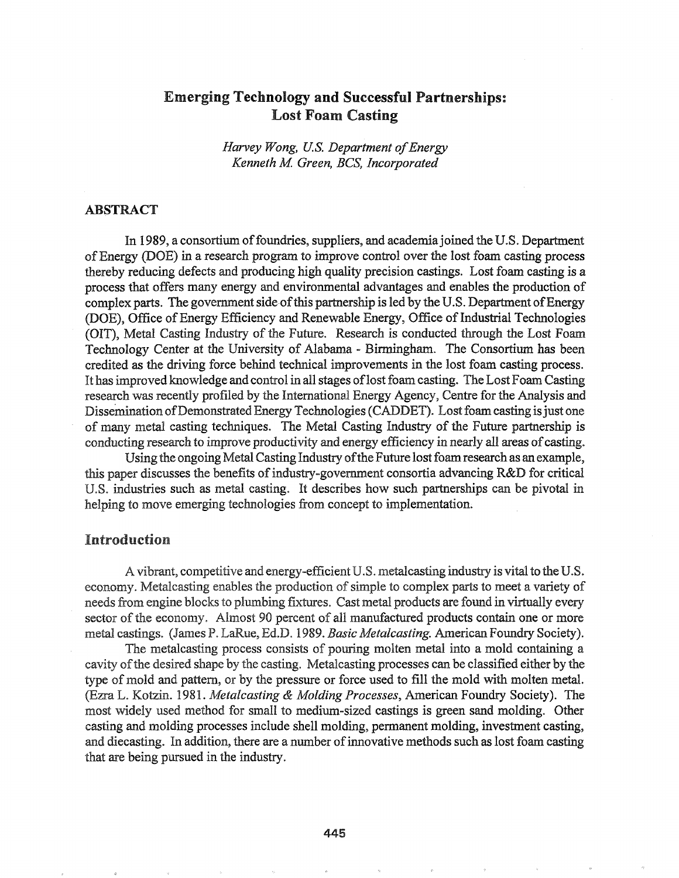# Emerging Technology and Successful Partnerships: Lost Foam Casting

*Harvey Wong, U.S. Department ofEnergy Kenneth M Green, BCS, Incorporated*

## ABSTRACT

In 1989, a consortium of foundries, suppliers, and academia joined the U.S. Department of Energy (DOE) in a research program to improve control over the lost foam casting process thereby reducing defects and producing high quality precision castings. Lost foam casting is a process that offers many energy and environmental advantages and enables the production of complex parts. The government side of this partnership is led by the U.S. Department of Energy (DOE), Office of Energy Efficiency and Renewable Energy, Office of Industrial Technologies (OIT), Metal Casting Industry of the Future. Research is conducted through the Lost Foam Technology Center at the University of Alabama - Birmingham. The Consortium has been credited as the driving force behind technical improvements in the lost foam casting process.. It has improved knowledge and control in all stages of lost foam casting. The Lost Foam Casting research was recently profiled by the International Energy Agency, Centre for the Analysis and Dissemination of Demonstrated Energy Technologies (CADDET). Lost foam casting is just one of many metal casting techniques. The Metal Casting Industry of the Future partnership is conducting research to improve productivity and energy efficiency in nearly all areas of casting.

Using the ongoing Metal Casting Industry of the Future lost foam research as an example, this paper discusses the benefits of industry-government consortia advancing R&D for critical U.S. industries such as metal casting. It describes how such partnerships can be pivotal in helping to move emerging technologies from concept to implementation.

## Introduction

A vibrant, competitive and energy-efficient U.S. metalcasting industry is vital to the U.S. economy. Metalcasting enables the production of simple to complex parts to meet a variety of hereds from engine blocks to plumbing fixtures. Cast metal products are found in virtually every sector of the economy. Almost 90 percent of all manufactured products contain one or more metal castings. (James P. LaRue, Ed.D. 1989. *Basic Metalcasting.* American Foundry Society).

The metalcasting process consists of pouring molten metal into a mold containing a cavity of the desired shape by the casting. Metalcasting processes can be classified either by the type of mold and pattern, or by the pressure or force used to fill the mold with molten metal. (Ezra L. Kotzin. 1981. *Metalcasting & Molding Processes*, American Foundry Society). The most widely used method for small to medium-sized castings is green sand molding. Other casting and molding processes include shell molding, permanent molding, investment casting, and diecasting. In addition, there are a number ofinnovative methods such as lost foam casting that are being pursued in the industry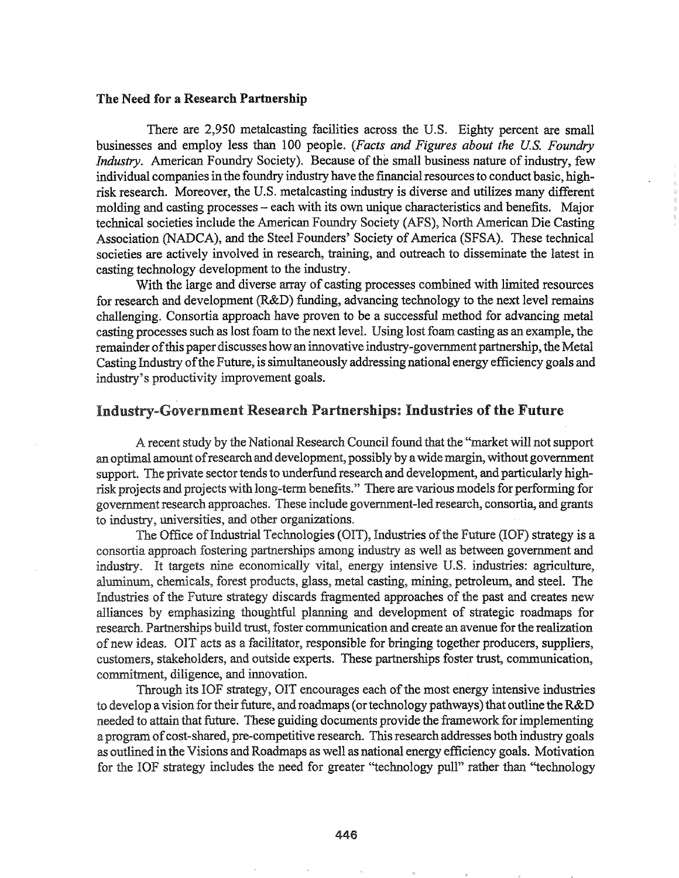#### The Need for a Research Partnership

There are 2,950 metalcasting facilities across the U.S. Eighty percent are small businesses and employ less than 100 people. *(Facts and Figures about the U.S. Foundry Industry.* American Foundry Society). Because of the small business nature of industry, few individual companies in the foundry industry have the financial resources to conduct basic, highrisk research. Moreover, the U.S. metalcasting industry is diverse and utilizes many different molding and casting processes - each with its own unique characteristics and benefits. Major technical societies include the American Foundry Society (AFS), North American Die Casting Association (NADCA), and the Steel Founders' Society of America (SFSA). These technical societies are actively involved in research, training, and outreach to disseminate the latest in casting technology development to the industry.

With the large and diverse array of casting processes combined with limited resources for research and development (R&D) funding, advancing technology to the next level remains challenging. Consortia approach have proven to be a successful method for advancing metal casting processes such as lost foam to the next leveL Using lost foam casting as an example, the remainder ofthis paper discusses how an innovative industry-government partnership, the Metal Casting Industry of the Future, is simultaneously addressing national energy efficiency goals and industry's productivity improvement goals.

## Industry-Government Research Partnerships: Industries of the Future

A recent study by the National Research Council found that the "market will not support an optimal amount ofresearchand development, possibly by awidemargin, without government support. The private sector tends to underfund research and development, and particularly highrisk projects and projects with long-term benefits." There are various models for performing for government research approaches. These include government-led research, consortia, and grants to industry, universities, and other organizations..

The Office of Industrial Technologies (OIT), Industries of the Future (IOF) strategy is a consortia approach fostering partnerships among industry as well as between government and industry. It targets nine economically vital, energy intensive U.S. industries: agriculture, aluminum, chemicals, forest products, glass, metal casting, mining, petroleum, and steel. The Industries of the Future strategy discards fragmented approaches of the past and creates new alliances by emphasizing thoughtful planning and development of strategic roadmaps for research. Partnerships build trust, foster communication and create an avenue for the realization ofnew ideas. OIT acts as a facilitator, responsible for bringing together producers, suppliers, customers, stakeholders, and outside experts. These partnerships foster trust, communication, commitment, diligence, and innovation.

Through its IOF strategy, OIT encourages each of the most energy intensive industries to develop a vision for their future, and roadmaps (or technology pathways) that outline the R&D needed to attain that future. These guiding documents provide the framework for implementing a program of cost-shared, pre-competitive research. This research addresses both industry goals as outlined in the Visions and Roadmaps as well as national energy efficiency goals. Motivation for the IOF strategy includes the need for greater "technology pull" rather than "technology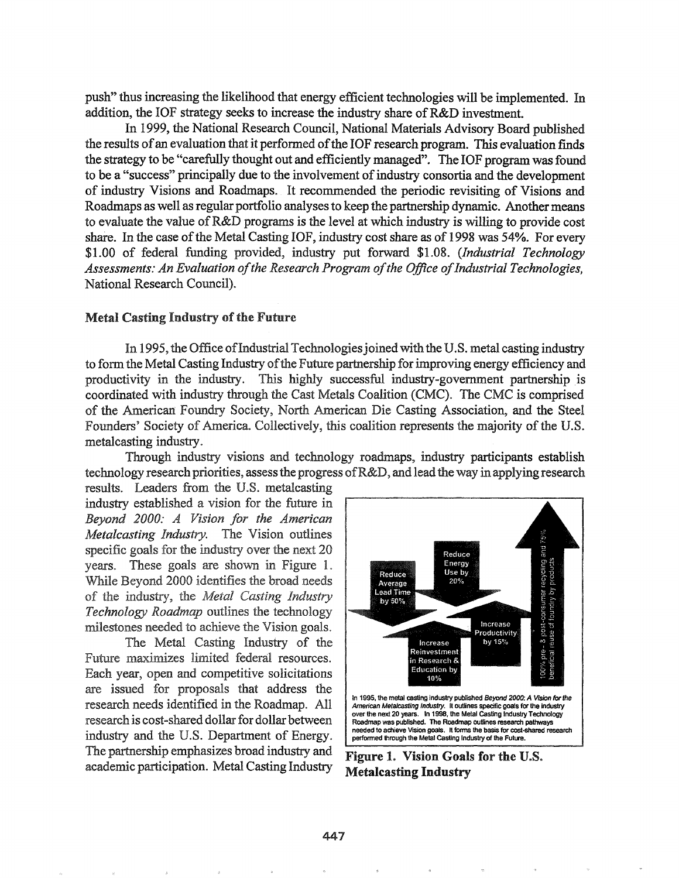push" thus increasing the likelihood that energy efficient technologies will be implemented. In addition, the IOF strategy seeks to increase the industry share of R&D investment.

In 1999, the National Research Council, National Materials Advisory Board published the results of an evaluation that it performed of the IOF research program. This evaluation finds the strategy to be "carefully thought out and efficiently managed". The IOF program was found to be a "success" principally due to the involvement of industry consortia and the development of industry Visions and Roadmaps. It recommended the periodic revisiting of Visions and Roadmaps as well as regular portfolio analyses to keep the partnership dynamic. Another means to evaluate the value of R&D programs is the level at which industry is willing to provide cost share. In the case of the Metal Casting IOF, industry cost share as of 1998 was 54%. For every \$1.00 of federal funding provided, industry put forward \$1.08. (Industrial Technology Assessments: An Evaluation of the Research Program of the Office of Industrial Technologies, National Research Council).

#### **Metal Casting Industry of the Future**

In 1995, the Office of Industrial Technologies joined with the U.S. metal casting industry to form the Metal Casting Industry of the Future partnership for improving energy efficiency and productivity in the industry. This highly successful industry-government partnership is coordinated with industry through the Cast Metals Coalition (CMC). The CMC is comprised of the American Foundry Society, North American Die Casting Association, and the Steel Founders' Society of America. Collectively, this coalition represents the majority of the U.S. metalcasting industry.

Through industry visions and technology roadmaps, industry participants establish technology research priorities, assess the progress of  $R&D$ , and lead the way in applying research

results. Leaders from the U.S. metalcasting industry established a vision for the future in Beyond 2000: A Vision for the American Metalcasting Industry. The Vision outlines specific goals for the industry over the next 20 years. These goals are shown in Figure 1. While Bevond 2000 identifies the broad needs of the industry, the Metal Casting Industry Technology Roadmap outlines the technology milestones needed to achieve the Vision goals.

The Metal Casting Industry of the Future maximizes limited federal resources. Each year, open and competitive solicitations are issued for proposals that address the research needs identified in the Roadmap. All research is cost-shared dollar for dollar between industry and the U.S. Department of Energy. The partnership emphasizes broad industry and academic participation. Metal Casting Industry



Figure 1. Vision Goals for the U.S. **Metalcasting Industry**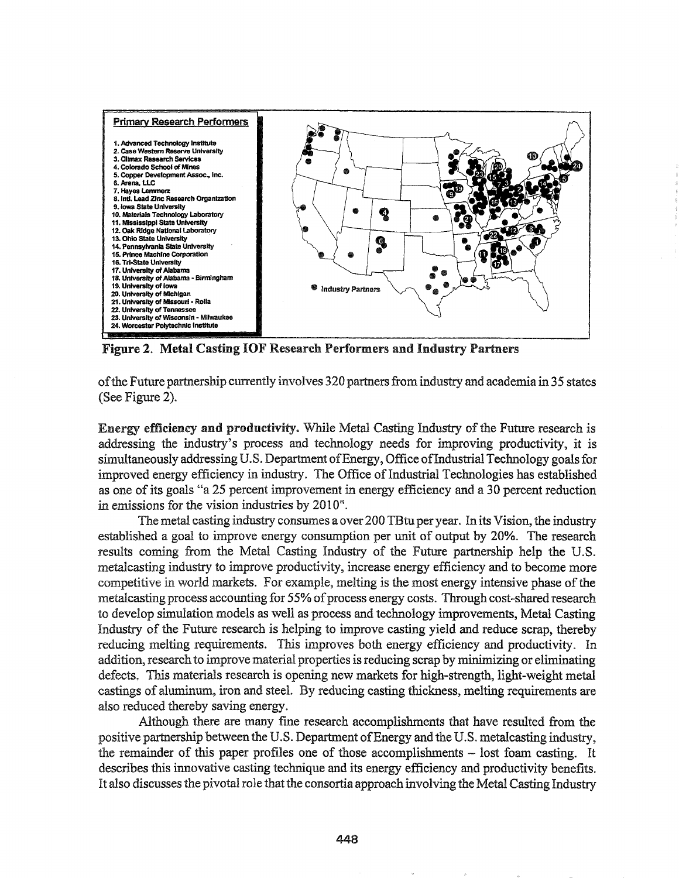

Figure 2. Metal Casting IOF Research Performers and Industry Partners

of the Future partnership currently involves 320 partners from industry and academia in 35 states (See Figure 2).

Energy efficiency and productivity. While Metal Casting Industry ofthe Future research is addressing the industry's process and technology needs for improving. productivity, it is simultaneously addressing U.S. Department of Energy, Office of Industrial Technology goals for improved energy efficiency in industry. The Office of Industrial Technologies has established as one of its goals "a 25 percent improvement in energy efficiency and a 30 percent reduction in emissions for the vision industries by 2010".

The metal casting industry consumes a over 200 TBtu per year. In its Vision, the industry established a goal to improve energy consumption per unit of output by 20%. The research results coming from the Metal Casting Industry of the Future partnership help the U.S. metalcasting industry to improve productivity, increase energy efficiency and to become more competitive in world markets. For example, melting is the most energy intensive phase of the metalcasting process accounting for 55% of process energy costs. Through cost-shared research to develop simulation models as well as process and technology improvements, Metal Casting Industry of the Future research is helping to improve casting yield and reduce scrap, thereby reducing melting requirements. This improves both energy efficiency and productivity. In addition, researchto improve material properties isreducing scrap by minimizing or eliminating defects. This materials research is opening new markets for high-strength, light-weight metal castings of aluminum, iron and steel. By reducing casting thickness, melting requirements are also reduced thereby saving energy.

Although there are many fine research accomplishments that have resulted from the positive partnership between the U.S. Department of Energy and the U.S. metalcasting industry, the remainder of this paper profiles one of those accomplishments - lost foam casting.. It describes this innovative casting technique and its energy efficiency and productivity benefits. It also discusses the pivotal role that the consortia approach involving the Metal Casting Industry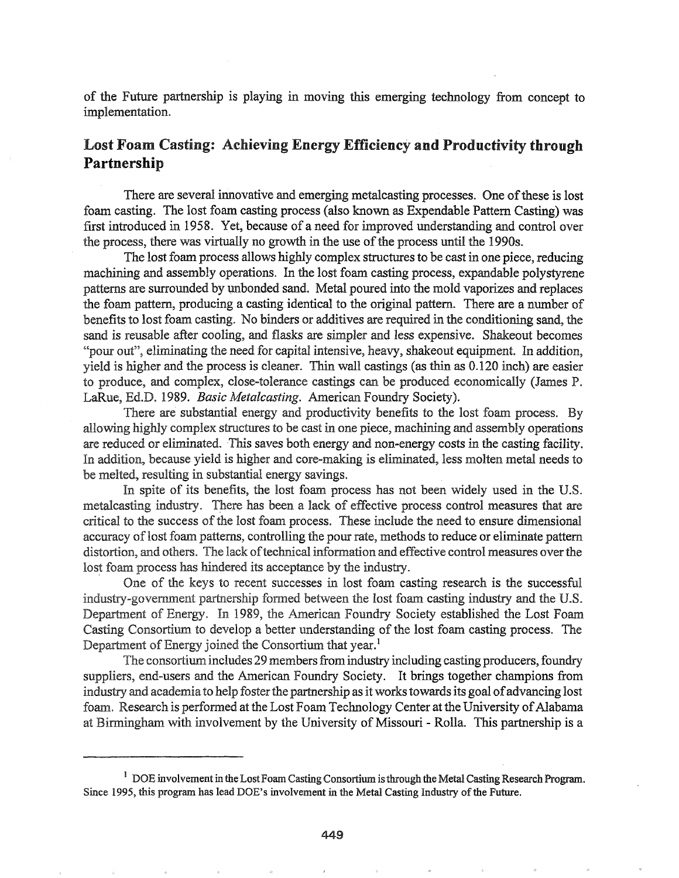of the Future partnership is playing in moving this emerging technology from concept to implementation.

# Lost Foam Casting: Achieving Energy Efficiency and Productivity through Partnership

There are several innovative and emerging metalcasting processes. One of these is lost foam casting. The lost foam casting process (also known as Expendable Pattern Casting) was first introduced in 1958. Yet, because of a need for improved understanding and control over the process, there was virtually no growth in the use of the process until the 1990s.

The lost foam process allows highly complex structures to be cast in one piece, reducing machining and assembly operations. In the lost foam casting process, expandable polystyrene patterns are surrounded by unbonded sand. Metal poured into the mold vaporizes and replaces the foam pattern, producing a casting identical to the original pattern. There are a number of benefits to lost foam casting. No binders or additives are required in the conditioning sand, the sand is reusable after cooling, and flasks are simpler and less expensive. Shakeout becomes "pour out", eliminating the need for capital intensive, heavy, shakeout equipment. In addition, yield is higher and the process is cleaner. Thin wall castings (as thin as  $0.120$  inch) are easier to produce, and complex, close-tolerance castings can be produced economically (James P. LaRue, Ed.D. 1989. *Basic Metalcasting.* American Foundry Society).

There are substantial energy and productivity benefits to the lost foam process. By allowing highly complex structures to be cast in one piece, machining and assembly operations are reduced or eliminated. This saves both energy and non-energy costs in the casting facility. In addition, because yield is higher and core-making is eliminated, less molten metal needs to be melted, resulting in substantial energy savings.

In spite of its benefits, the lost foam process has not been widely used in the U.S. metalcasting industry. There has been a lack of effective process control measures that are critical to the success of the lost foam process. These include the need to ensure dimensional accuracy of lost foam patterns, controlling the pour rate, methods to reduce or eliminate pattern distortion, and others. The lack of technical information and effective control measures over the lost foam process has hindered its acceptance by the industry.

One of the keys to recent successes in lost foam casting research is the successful industry-government partnership formed between the lost foam casting industry and the U.S. Department of Energy. In 1989, the American Foundry Society established the Lost Foam. Casting Consortium to develop a better understanding of the lost foam casting process. The Department of Energy joined the Consortium that year.<sup>1</sup>

The consortium includes 29 members from industry including casting producers, foundry suppliers, end-users and the American Foundry Society. It brings together champions from industry and academia to help foster the partnership as it works towards its goal of advancing lost foam. Research is performed at the Lost Foam Technology Center at the University of Alabama at Birmingham with involvement by the University of Missouri - Rolla. This partnership is a

 $1$  DOE involvement in the Lost Foam Casting Consortium is through the Metal Casting Research Program. Since 1995, this program has lead DOE's involvement in the Metal Casting Industry of the Future.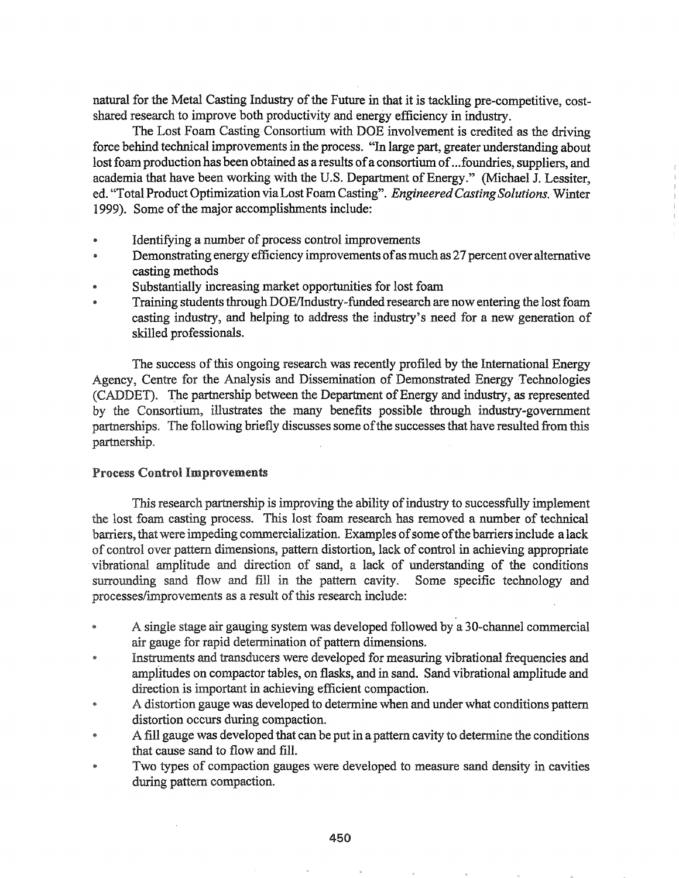natural for the Metal Casting Industry of the Future in that it is tackling pre-competitive, costshared research to improve both productivity and energy efficiency in industry.

The Lost Foam Casting Consortium with DOE involvement is credited as the driving force behind technical improvements in the process. "In large part, greater understanding about lost foam production has been obtained as a results of a consortium of ... foundries, suppliers, and academia that have been working with the U.S. Department of Energy." (Michael J. Lessiter, ed. "Total Product Optimization viaLost Foam Casting". *EngineeredCastingSolutions.* Winter 1999). Some of the major accomplishments include:

- Identifying a number of process control improvements
- Demonstrating energy efficiency improvements of as much as 27 percent over alternative casting methods
- Substantially increasing market opportunities for lost foam
- Training students through DOE/Industry-funded research are now entering the lost foam casting industry, and helping to address the industry's need for a new generation of skilled professionals.

The success ofthis ongoing research was recently profiled by the International Energy Agency, Centre for the Analysis and Dissemination of Demonstrated Energy Technologies (CADDET). The partnership between the Department of Energy and industry, as represented by the Consortium, illustrates the many benefits possible through industry-government partnerships. The following briefly discusses some of the successes that have resulted from this partnership.

#### Process Control Improvements

This research partnership is improving the ability of industry to successfully implement the lost foam casting process. This lost' foam research has removed a number of technical barriers, that were impeding commercialization. Examples of some of the barriers include a lack of control over pattern dimensions, pattern distortion, lack of control in achieving appropriate vibrational amplitude and direction of sand, a lack of understanding of the conditions surrounding sand flow and fill in the pattern cavity. Some specific technology and processes/improvements as a result of this research include:

- A single stage air gauging system was developed followed by a 30-channel commercial air gauge for rapid determination of pattern dimensions.
- Instruments and transducers were developed for measuring vibrational frequencies and ø amplitudes on compactor tables, on flasks, and in sand. Sand vibrational amplitude and direction is important in achieving efficient compaction.
- A distortion gauge was developed to determine when and under what conditions pattern distortion occurs during compaction.
- A fill gauge was developed that can be put in a pattern cavity to determine the conditions that cause sand to flow and fill.
- Two types of compaction gauges were developed to measure sand density in cavities during pattern compaction.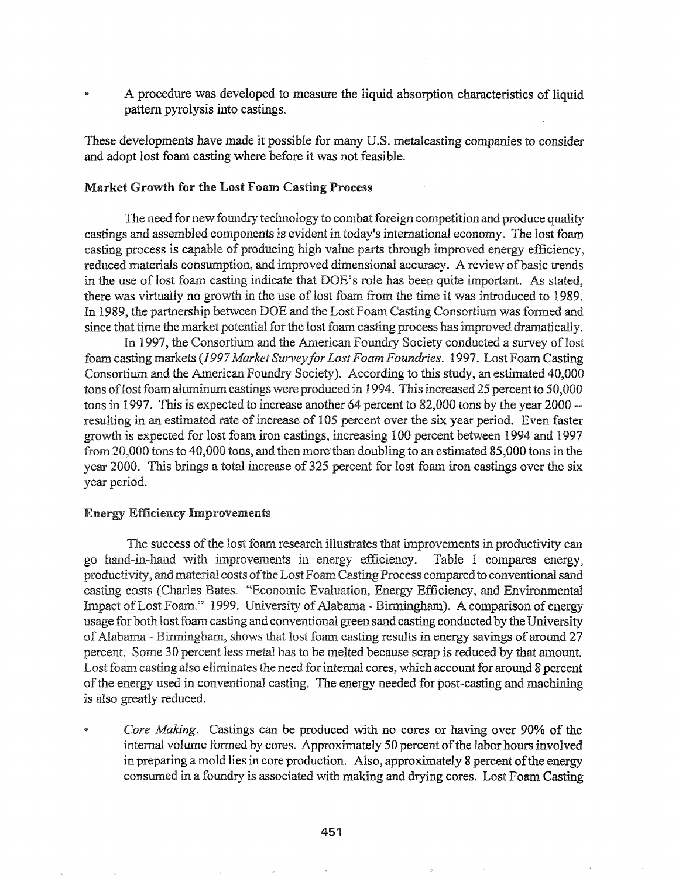A procedure was developed to measure the liquid absorption characteristics of liquid pattern pyrolysis into castings.

These developments have made it possible for many U.S. metalcasting companies to consider and adopt lost foam casting where before it was not feasible.

#### Market Growth for the Lost Foam Casting Process

The need for new foundry technology to combat foreign competition and produce quality castings and assembled components is evident in today's international economy. The lost foam casting process is capable of producing high value parts through improved energy efficiency, reduced materials consumption, and improved dimensional accuracy. A review of basic trends in the use of lost foam casting indicate that DOE's role has been quite important. As stated, there was virtually no growth in the use of lost foam from the time it was introduced to 1989. In 1989, the partnership between DOE and the Lost Foam Casting Consortium was formed and since that time the market potential for the lost foam casting process has improved dramatically.

In 1997, the Consortium and the American Foundry Society conducted a survey of lost foam casting markets (1997 Market Survey for Lost Foam Foundries. 1997. Lost Foam Casting Consortium and the American Foundry Society). According to this study, an estimated 40,000 tons of lost foam aluminum castings were produced in 1994. This increased 25 percent to 50,000 tons in 1997. This is expected to increase another 64 percent to 82,000 tons by the year 2000 $$ resulting in an estimated rate of increase of 105 percent over the six year period. Even faster growth is expected for lost foam iron castings, increasing 100 percent between 1994 and 1997 from  $20,000$  tons to  $40,000$  tons, and then more than doubling to an estimated  $85,000$  tons in the year 2000. This brings a total increase of 325 percent for lost foam iron castings over the six year period.

#### **Energy Efficiency Improvements**

The success of the lost foam research illustrates that improvements in productivity can go hand-in-hand with improvements in energy efficiency. Table 1 compares energy, productivity, and material costs of the Lost Foam Casting Process compared to conventional sand casting costs (Charles Bates. "Economic Evaluation, Energy Efficiency, and Environmental Impact of Lost Foam." 1999. University of Alabama - Birmingham). A comparison of energy usage for both lost foam casting and conventional green sand casting conducted by the University of Alabama - Birmingham, shows that lost foam casting results in energy savings of around 27 percent. Some 30 percent less metal has to be melted because scrap is reduced by that amount. Lost foam casting also eliminates the need for internal cores, which account for around 8 percent of the energy used in conventional casting. The energy needed for post-casting and machining is also greatly reduced.

*Core Making.* Castings can be produced with no cores or having over 90% of the internal volume formed by cores. Approximately 50 percent of the labor hours involved in preparing a mold lies in core production. Also, approximately 8 percent of the energy consumed in a foundry is associated with making and drying cores. Lost Foam Casting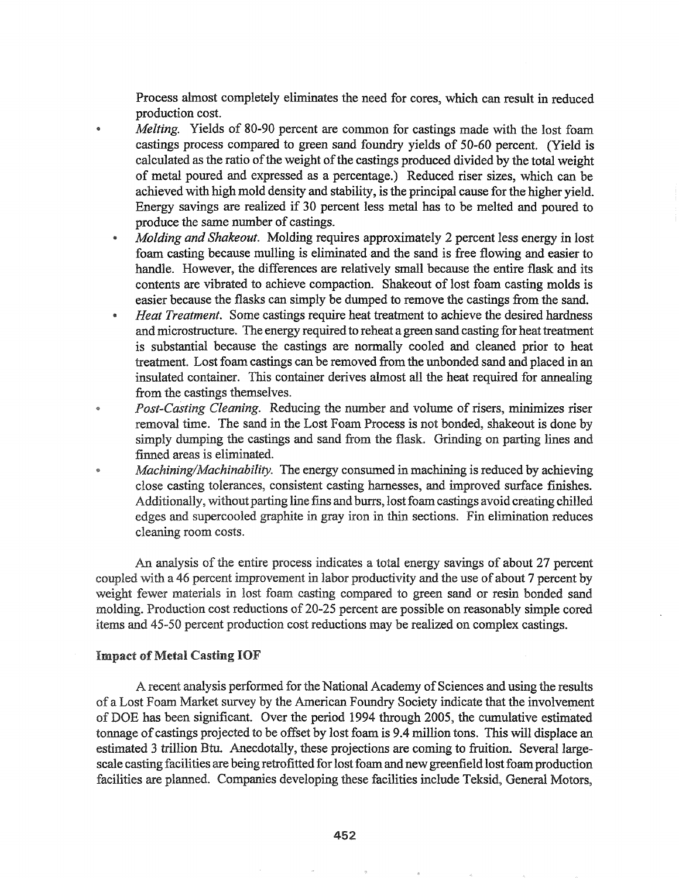Process almost completely eliminates the need for cores, which can result in reduced production cost.

- *Melting.* Yields of 80-90 percent are common for castings made with the lost foam  $\bullet$ castings process compared to green sand foundry yields of 50-60 percent. (Yield is calculated as the ratio of the weight of the castings produced divided by the total weight of metal poured and expressed as a percentage.) Reduced riser sizes, which can be achieved with high mold density and stability, is the principal cause for the higher yield. Energy savings are realized if 30 percent less metal has to be melted and poured to produce the same number of castings.
	- *• Molding and Shakeout.* Molding requires approximately 2 percent less energy in lost foam casting because mulling is eliminated and the sand is free flowing and easier to handle. However, the differences are relatively small because the entire flask and its contents are vibrated to achieve compaction. Shakeout of lost foam casting molds is easier because the flasks can simply be dumped to remove the castings from the sand.
	- <sup>e</sup> *Heat Treatment.* Some castings require heat treatment to achieve the desired hardness and microstructure. The energy required to reheat a green sand casting for heat treatment is substantial because the castings are normally cooled and cleaned prior to heat treatment. Lost foam castings can be removed from the unbonded sand and placed in an insulated container. This container derives almost all the heat required for annealing from the castings themselves.
- *Post-Casting Cleaning.* Reducing the number and volume of risers, minimizes riser  $\bullet$ removal time. The sand in the Lost Foam Process is not bonded, shakeout is done by simply dumping the castings and sand from the flask. Grinding on parting lines and finned areas is eliminated.
- *Machining/Machinability.* The energy consumed in machining is reduced by achieving close casting tolerances, consistent casting harnesses, and improved surface finishes.. Additionally, without parting line fins and burrs, lost foam castings avoid creating chilled edges and supercooled graphite in gray iron in thin sections. Fin elimination reduces cleaning room costs..

An analysis of the entire process indicates a total energy savings of about 27 percent coupled with a 46 percent improvement in labor productivity and the use of about 7 percent by weight fewer materials in lost foam casting compared to green sand or resin bonded sand molding. Production cost reductions of 20-25 percent are possible on reasonably simple cored items and 45-50 percent production cost reductions may be realized on complex castings.

#### **Impact of Metal Casting IOF**

A recent analysis performed for the National Academy of Sciences and using the results of a Lost Foam Market survey by the American Foundry Society indicate that the involvement of DOE has been significant. Over the period 1994 through 2005, the cumulative estimated tonnage of castings projected to be offset by lost foam is 9.4 million tons. This will displace an estimated 3 trillion Btu. Anecdotally, these projections are coming to fruition. Several largescale casting facilities are being retrofitted for lost foam and new greenfield lost foam production facilities are planned. Companies developing these facilities include Teksid, General Motors,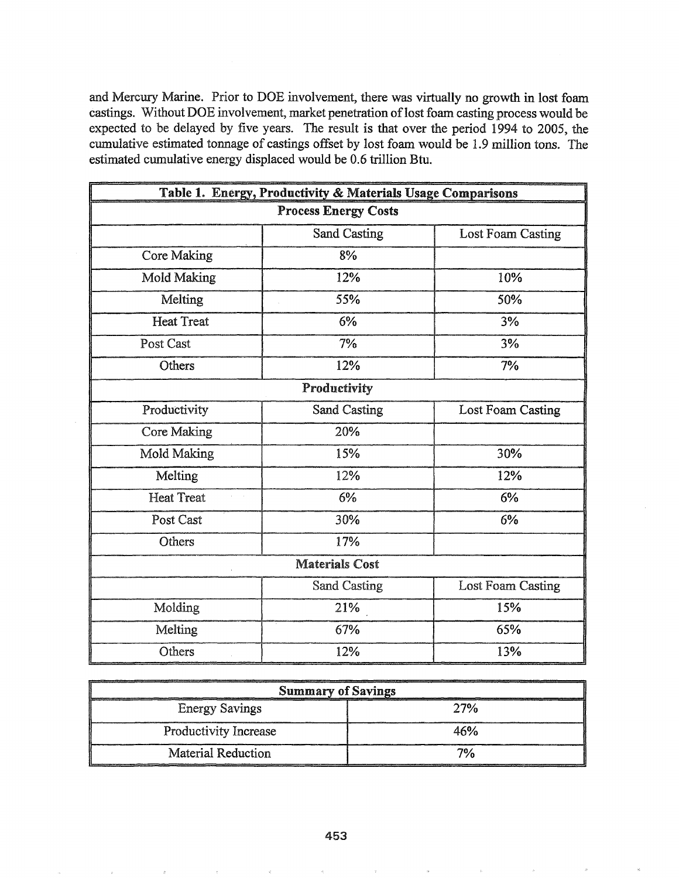and Mercury Marine. Prior to DOE involvement, there was virtually no growth in lost foam castings. Without DOE involvement, market penetration of lost foam casting process would be expected to be delayed by five years. The result is that over the period 1994 to 2005, the cumulative estimated tonnage of castings offset by lost foam would be 1.9 million tons. The estimated cumulative energy displaced would be 0.6 trillion Btu.

| Table 1. Energy, Productivity & Materials Usage Comparisons |                     |                          |  |
|-------------------------------------------------------------|---------------------|--------------------------|--|
| <b>Process Energy Costs</b>                                 |                     |                          |  |
|                                                             | Sand Casting        | <b>Lost Foam Casting</b> |  |
| <b>Core Making</b>                                          | 8%                  |                          |  |
| <b>Mold Making</b>                                          | 12%                 | 10%                      |  |
| Melting                                                     | 55%                 | 50%                      |  |
| <b>Heat Treat</b>                                           | 6%                  | 3%                       |  |
| Post Cast                                                   | 7%                  | 3%                       |  |
| Others                                                      | 12%                 | 7%                       |  |
| Productivity                                                |                     |                          |  |
| Productivity                                                | <b>Sand Casting</b> | <b>Lost Foam Casting</b> |  |
| <b>Core Making</b>                                          | 20%                 |                          |  |
| Mold Making                                                 | 15%                 | 30%                      |  |
| Melting                                                     | 12%                 | 12%                      |  |
| <b>Heat Treat</b>                                           | 6%                  | 6%                       |  |
| Post Cast                                                   | 30%                 | 6%                       |  |
| Others                                                      | 17%                 |                          |  |
| <b>Materials Cost</b>                                       |                     |                          |  |
|                                                             | <b>Sand Casting</b> | <b>Lost Foam Casting</b> |  |
| Molding                                                     | 21%                 | 15%                      |  |
| Melting                                                     | 67%                 | 65%                      |  |
| Others                                                      | 12%                 | 13%                      |  |

| <b>Summary of Savings</b> |     |  |  |
|---------------------------|-----|--|--|
| <b>Energy Savings</b>     | 27% |  |  |
| Productivity Increase     | 46% |  |  |
| Material Reduction        | 7%  |  |  |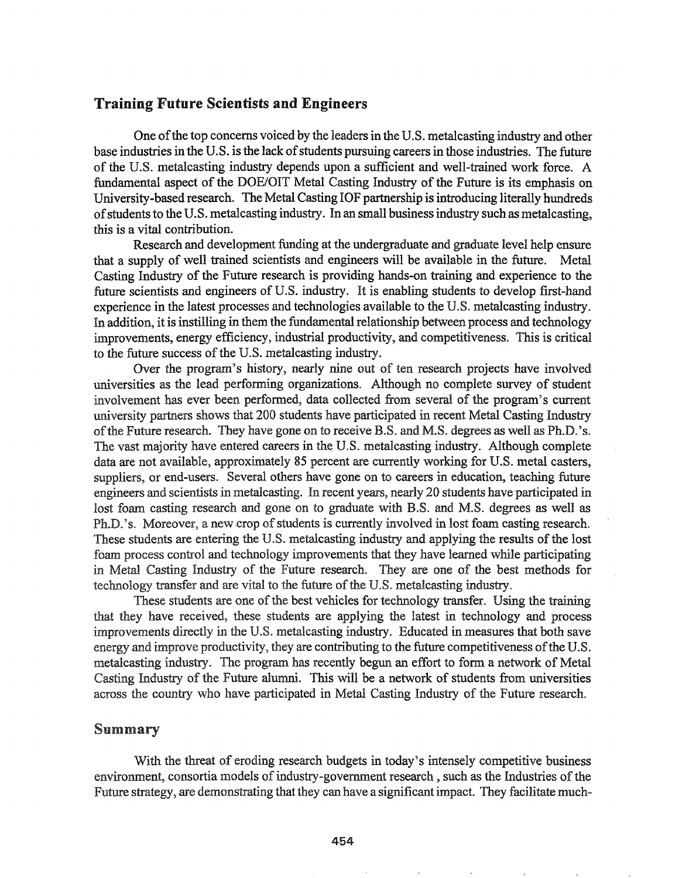## Training Future Scientists and Engineers

One of the top concerns voiced by the leaders in the U.S. metalcasting industry and other base industries in the U.S. is the lack of students pursuing careers in those industries. The future of the u.s. metalcasting industry depends upon <sup>a</sup> sufficient and well-trained work force. <sup>A</sup> fundamental aspect of the DOE/OIT Metal Casting Industry of the Future is its emphasis on University-based research. The Metal Casting IOF partnership is introducing literally hundreds of students to the U.S. metalcasting industry. In an small business industry such as metalcasting, this is a vital contribution.

Research and development funding at the undergraduate and graduate level help ensure that a supply of well trained scientists and engineers will be available in the future. Metal Casting Industry of the Future research is providing hands-on training and experience to the future scientists and engineers of U.S. industry.. It is enabling students to develop first-hand experience in the latest processes and technologies available to the U.S. metalcasting industry. In addition, it is instilling in them the fundamental relationship between process and technology improvements, energy efficiency, industrial productivity, and competitiveness.. This is critical to the future success of the U.S. metalcasting industry.

Over the program's history, nearly nine out of ten research projects have involved universities as the lead performing organizations.. Although no complete survey of student involvement has ever been performed, data collected from several of the program's current university partners shows that 200 students have participated in recent Metal Casting Industry of the Future research. They have gone on to receive B.S. and M.S. degrees as well as Ph.D.'s. The vast majority have entered careers in the U.S. metalcasting industry. Although complete data are not available, approximately 85 percent are currently working for U.S. metal casters, suppliers, or end-users. Several others have gone on to careers in education, teaching future engineers and scientists in metalcasting. In recent years, nearly 20 students have participated in lost foam casting research and gone on to graduate with B.S. and M.S. degrees as well as Ph.D.'s. Moreover, a new crop of students is currently involved in lost foam casting research. These students are entering the U.S. metalcasting industry and applying the results of the lost foam process control and technology improvements that they have learned while participating in Metal Casting Industry of the Future research. They are one of the best methods for technology transfer and are vital to the future of the U.S. metalcasting industry.

These students are one of the best vehicles for technology transfer. Using the training have received, these students are applying the latest in technology and process improvements directly in the U.S. metalcasting industry. Educated in measures that both save energy and improve productivity, they are contributing to the future competitiveness of the U.S. metalcasting industry.. The program has recently begun an effort to form a network of Metal Casting Industry of the Future alumni. This will be a network of students from universities across the country who have participated in Metal Casting Industry of the Future research.

### Summary

With the threat of eroding research budgets in today's intensely competitive business environment, consortia models of industry-government research, such as the Industries of the Future strategy, are demonstrating that they can have a significant impact. They facilitate much